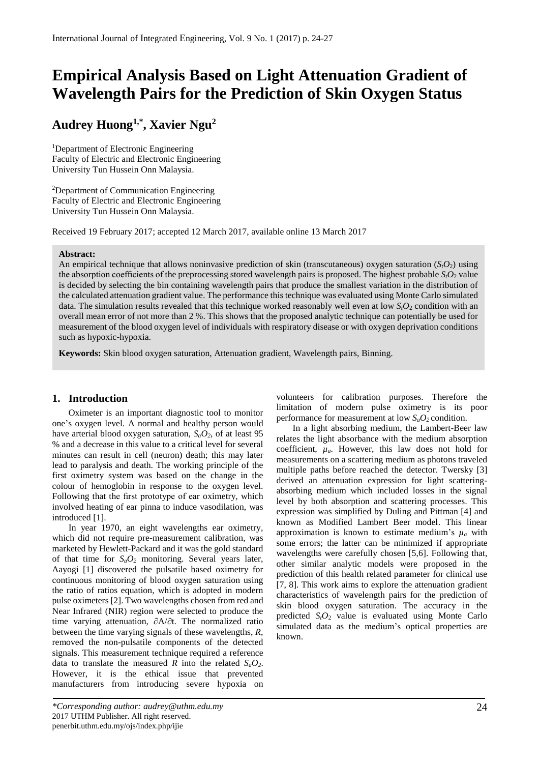# **Empirical Analysis Based on Light Attenuation Gradient of Wavelength Pairs for the Prediction of Skin Oxygen Status**

## **Audrey Huong1,\* , Xavier Ngu<sup>2</sup>**

<sup>1</sup>Department of Electronic Engineering Faculty of Electric and Electronic Engineering University Tun Hussein Onn Malaysia.

<sup>2</sup>Department of Communication Engineering Faculty of Electric and Electronic Engineering University Tun Hussein Onn Malaysia.

Received 19 February 2017; accepted 12 March 2017, available online 13 March 2017

#### **Abstract:**

An empirical technique that allows noninvasive prediction of skin (transcutaneous) oxygen saturation  $(S_1O_2)$  using the absorption coefficients of the preprocessing stored wavelength pairs is proposed. The highest probable  $S<sub>i</sub>O<sub>2</sub>$  value is decided by selecting the bin containing wavelength pairs that produce the smallest variation in the distribution of the calculated attenuation gradient value. The performance this technique was evaluated using Monte Carlo simulated data. The simulation results revealed that this technique worked reasonably well even at low  $S_tO_2$  condition with an overall mean error of not more than 2 %. This shows that the proposed analytic technique can potentially be used for measurement of the blood oxygen level of individuals with respiratory disease or with oxygen deprivation conditions such as hypoxic-hypoxia.

**Keywords:** Skin blood oxygen saturation, Attenuation gradient, Wavelength pairs, Binning.

## **1. Introduction**

Oximeter is an important diagnostic tool to monitor one's oxygen level. A normal and healthy person would have arterial blood oxygen saturation,  $S_aO_2$ , of at least 95 % and a decrease in this value to a critical level for several minutes can result in cell (neuron) death; this may later lead to paralysis and death. The working principle of the first oximetry system was based on the change in the colour of hemoglobin in response to the oxygen level. Following that the first prototype of ear oximetry, which involved heating of ear pinna to induce vasodilation, was introduced [1].

In year 1970, an eight wavelengths ear oximetry, which did not require pre-measurement calibration, was marketed by Hewlett-Packard and it was the gold standard of that time for *SaO<sup>2</sup>* monitoring. Several years later, Aayogi [1] discovered the pulsatile based oximetry for continuous monitoring of blood oxygen saturation using the ratio of ratios equation, which is adopted in modern pulse oximeters[2]. Two wavelengths chosen from red and Near Infrared (NIR) region were selected to produce the time varying attenuation, ∂A/∂t. The normalized ratio between the time varying signals of these wavelengths, *R*, removed the non-pulsatile components of the detected signals. This measurement technique required a reference data to translate the measured *R* into the related  $S_aO_2$ . However, it is the ethical issue that prevented manufacturers from introducing severe hypoxia on

*\*Corresponding author: audrey@uthm.edu.my* 2017 UTHM Publisher. All right reserved. penerbit.uthm.edu.my/ojs/index.php/ijie

volunteers for calibration purposes. Therefore the limitation of modern pulse oximetry is its poor performance for measurement at low *SaO<sup>2</sup>* condition.

In a light absorbing medium, the Lambert-Beer law relates the light absorbance with the medium absorption coefficient,  $\mu_a$ . However, this law does not hold for measurements on a scattering medium as photons traveled multiple paths before reached the detector. Twersky [3] derived an attenuation expression for light scatteringabsorbing medium which included losses in the signal level by both absorption and scattering processes. This expression was simplified by Duling and Pittman [4] and known as Modified Lambert Beer model. This linear approximation is known to estimate medium's  $\mu_a$  with some errors; the latter can be minimized if appropriate wavelengths were carefully chosen [5,6]. Following that, other similar analytic models were proposed in the prediction of this health related parameter for clinical use [7, 8]. This work aims to explore the attenuation gradient characteristics of wavelength pairs for the prediction of skin blood oxygen saturation. The accuracy in the predicted *StO*<sup>2</sup> value is evaluated using Monte Carlo simulated data as the medium's optical properties are known.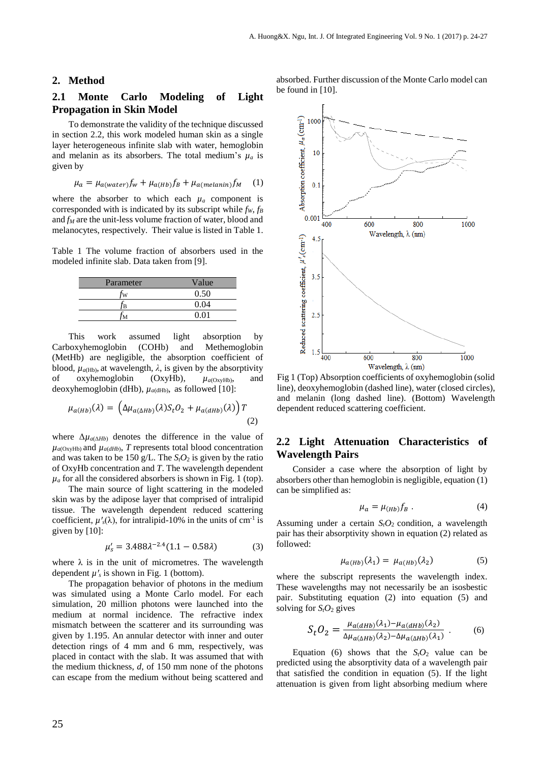#### **2. Method**

## **2.1 Monte Carlo Modeling of Light Propagation in Skin Model**

To demonstrate the validity of the technique discussed in section 2.2, this work modeled human skin as a single layer heterogeneous infinite slab with water, hemoglobin and melanin as its absorbers. The total medium's  $\mu_a$  is given by

$$
\mu_a = \mu_{a(water)} f_w + \mu_{a(Hb)} f_B + \mu_{a(melanin)} f_M \quad (1)
$$

where the absorber to which each  $\mu_a$  component is corresponded with is indicated by its subscript while *fW*, *f<sup>B</sup>* and *f<sup>M</sup>* are the unit-less volume fraction of water, blood and melanocytes, respectively. Their value is listed in Table 1.

Table 1 The volume fraction of absorbers used in the modeled infinite slab. Data taken from [9].

| Parameter | Value |
|-----------|-------|
|           | 0.50  |
|           | 0.04  |
|           |       |

This work assumed light absorption by Carboxyhemoglobin (COHb) and Methemoglobin (MetHb) are negligible, the absorption coefficient of blood,  $\mu_{a(Hb)}$ , at wavelength,  $\lambda$ , is given by the absorptivity of oxyhemoglobin (OxyHb), *µa*(OxyHb), and deoxyhemoglobin (dHb),  $\mu_{a(dHb)}$ , as followed [10]:

$$
\mu_{a(Hb)}(\lambda) = \left(\Delta \mu_{a(\Delta Hb)}(\lambda) S_t O_2 + \mu_{a(dHb)}(\lambda)\right) T
$$
\n(2)

where  $\Delta \mu_{a(\Delta Hb)}$  denotes the difference in the value of  $\mu_{a(OxvHb)}$  and  $\mu_{a(dHb)}$ , *T* represents total blood concentration and was taken to be 150 g/L. The  $S<sub>t</sub>O<sub>2</sub>$  is given by the ratio of OxyHb concentration and *T*. The wavelength dependent  $\mu_a$  for all the considered absorbers is shown in Fig. 1 (top).

The main source of light scattering in the modeled skin was by the adipose layer that comprised of intralipid tissue. The wavelength dependent reduced scattering coefficient,  $\mu'_{s}(\lambda)$ , for intralipid-10% in the units of cm<sup>-1</sup> is given by [10]:

$$
\mu_s' = 3.488 \lambda^{-2.4} (1.1 - 0.58 \lambda) \tag{3}
$$

where  $\lambda$  is in the unit of micrometres. The wavelength dependent  $\mu'$ <sup>s</sup> is shown in Fig. 1 (bottom).

The propagation behavior of photons in the medium was simulated using a Monte Carlo model. For each simulation, 20 million photons were launched into the medium at normal incidence. The refractive index mismatch between the scatterer and its surrounding was given by 1.195. An annular detector with inner and outer detection rings of 4 mm and 6 mm, respectively, was placed in contact with the slab. It was assumed that with the medium thickness, *d*, of 150 mm none of the photons can escape from the medium without being scattered and absorbed. Further discussion of the Monte Carlo model can be found in [10].



Fig 1 (Top) Absorption coefficients of oxyhemoglobin (solid line), deoxyhemoglobin (dashed line), water (closed circles), and melanin (long dashed line). (Bottom) Wavelength dependent reduced scattering coefficient.

## **2.2 Light Attenuation Characteristics of Wavelength Pairs**

Consider a case where the absorption of light by absorbers other than hemoglobin is negligible, equation (1) can be simplified as:

$$
\mu_a = \mu_{(Hb)} f_B \,. \tag{4}
$$

Assuming under a certain  $S_tO_2$  condition, a wavelength pair has their absorptivity shown in equation (2) related as followed:

$$
\mu_{a(Hb)}(\lambda_1) = \mu_{a(Hb)}(\lambda_2) \tag{5}
$$

where the subscript represents the wavelength index. These wavelengths may not necessarily be an isosbestic pair. Substituting equation (2) into equation (5) and solving for  $S_tO_2$  gives

$$
S_t O_2 = \frac{\mu_{a(dHb)}(\lambda_1) - \mu_{a(dHb)}(\lambda_2)}{\Delta \mu_{a(\Delta Hb)}(\lambda_2) - \Delta \mu_{a(\Delta Hb)}(\lambda_1)}.
$$
(6)

Equation (6) shows that the  $S_t O_2$  value can be predicted using the absorptivity data of a wavelength pair that satisfied the condition in equation (5). If the light attenuation is given from light absorbing medium where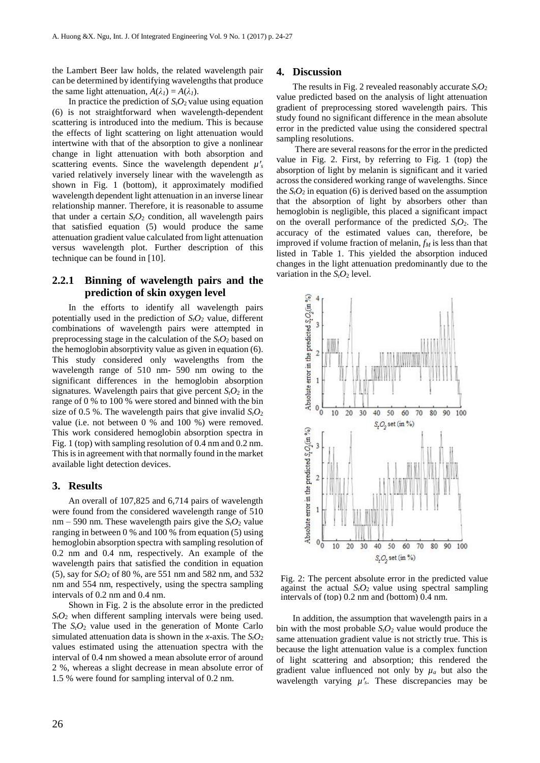the Lambert Beer law holds, the related wavelength pair can be determined by identifying wavelengths that produce the same light attenuation,  $A(\lambda_I) = A(\lambda_I)$ .

In practice the prediction of  $S<sub>i</sub>O<sub>2</sub>$  value using equation (6) is not straightforward when wavelength-dependent scattering is introduced into the medium. This is because the effects of light scattering on light attenuation would intertwine with that of the absorption to give a nonlinear change in light attenuation with both absorption and scattering events. Since the wavelength dependent  $\mu'$ <sub>s</sub> varied relatively inversely linear with the wavelength as shown in Fig. 1 (bottom), it approximately modified wavelength dependent light attenuation in an inverse linear relationship manner. Therefore, it is reasonable to assume that under a certain  $S_tO_2$  condition, all wavelength pairs that satisfied equation (5) would produce the same attenuation gradient value calculated from light attenuation versus wavelength plot. Further description of this technique can be found in [10].

## **2.2.1 Binning of wavelength pairs and the prediction of skin oxygen level**

In the efforts to identify all wavelength pairs potentially used in the prediction of  $S_tO_2$  value, different combinations of wavelength pairs were attempted in preprocessing stage in the calculation of the *StO*<sup>2</sup> based on the hemoglobin absorptivity value as given in equation (6). This study considered only wavelengths from the wavelength range of 510 nm- 590 nm owing to the significant differences in the hemoglobin absorption signatures. Wavelength pairs that give percent  $S_tO_2$  in the range of 0 % to 100 % were stored and binned with the bin size of 0.5 %. The wavelength pairs that give invalid  $S_tO_2$ value (i.e. not between 0 % and 100 %) were removed. This work considered hemoglobin absorption spectra in Fig. 1 (top) with sampling resolution of 0.4 nm and 0.2 nm. This is in agreement with that normally found in the market available light detection devices.

### **3. Results**

An overall of 107,825 and 6,714 pairs of wavelength were found from the considered wavelength range of 510 nm – 590 nm. These wavelength pairs give the  $S_tO_2$  value ranging in between 0 % and 100 % from equation (5) using hemoglobin absorption spectra with sampling resolution of 0.2 nm and 0.4 nm, respectively. An example of the wavelength pairs that satisfied the condition in equation (5), say for *StO*<sup>2</sup> of 80 %, are 551 nm and 582 nm, and 532 nm and 554 nm, respectively, using the spectra sampling intervals of 0.2 nm and 0.4 nm.

Shown in Fig. 2 is the absolute error in the predicted  $S_tO_2$  when different sampling intervals were being used. The  $S_tO_2$  value used in the generation of Monte Carlo simulated attenuation data is shown in the *x-*axis. The *StO*<sup>2</sup> values estimated using the attenuation spectra with the interval of 0.4 nm showed a mean absolute error of around 2 %, whereas a slight decrease in mean absolute error of 1.5 % were found for sampling interval of 0.2 nm.

## **4. Discussion**

The results in Fig. 2 revealed reasonably accurate  $S_tO_2$ value predicted based on the analysis of light attenuation gradient of preprocessing stored wavelength pairs. This study found no significant difference in the mean absolute error in the predicted value using the considered spectral sampling resolutions.

There are several reasons for the error in the predicted value in Fig. 2. First, by referring to Fig. 1 (top) the absorption of light by melanin is significant and it varied across the considered working range of wavelengths. Since the  $S_t O_2$  in equation (6) is derived based on the assumption that the absorption of light by absorbers other than hemoglobin is negligible, this placed a significant impact on the overall performance of the predicted *StO*2. The accuracy of the estimated values can, therefore, be improved if volume fraction of melanin, *f<sup>M</sup>* is less than that listed in Table 1. This yielded the absorption induced changes in the light attenuation predominantly due to the variation in the  $S_tO_2$  level.



Fig. 2: The percent absolute error in the predicted value against the actual  $S_tO_2$  value using spectral sampling intervals of (top) 0.2 nm and (bottom) 0.4 nm.

In addition, the assumption that wavelength pairs in a bin with the most probable *StO*<sup>2</sup> value would produce the same attenuation gradient value is not strictly true. This is because the light attenuation value is a complex function of light scattering and absorption; this rendered the gradient value influenced not only by  $\mu_a$  but also the wavelength varying  $\mu$ '<sub>s</sub>. These discrepancies may be